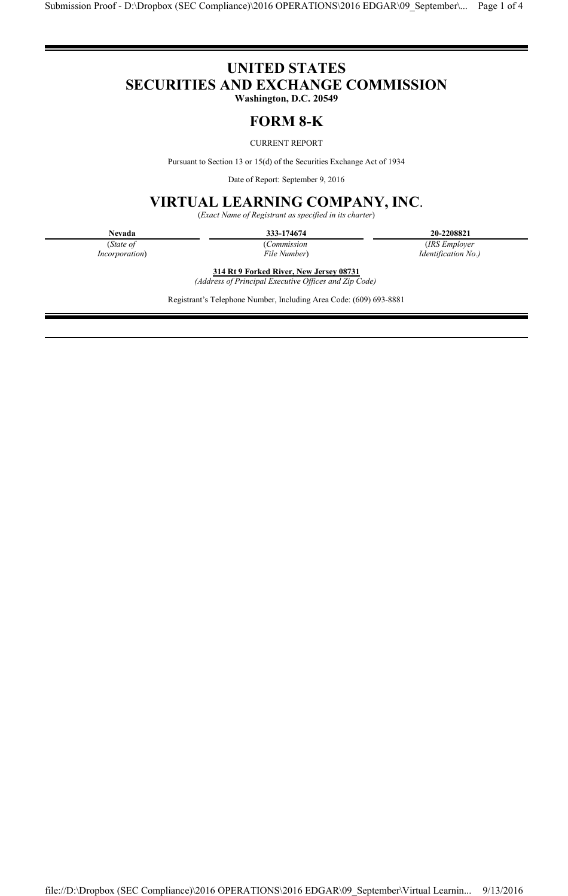# **UNITED STATES SECURITIES AND EXCHANGE COMMISSION**

**Washington, D.C. 20549**

## **FORM 8-K**

### CURRENT REPORT

Pursuant to Section 13 or 15(d) of the Securities Exchange Act of 1934

Date of Report: September 9, 2016

## **VIRTUAL LEARNING COMPANY, INC**.

(*Exact Name of Registrant as specified in its charter*)

**Nevada 333-174674 20-2208821**

(*State of* (*Commission* (*IRS Employer Incorporation*) (*IRS Employer File Number*) (*IRS Employer* 

*Incorporation*) *File Number*) *Identification No.)*

**314 Rt 9 Forked River, New Jersey 08731** *(Address of Principal Executive Offices and Zip Code)*

Registrant's Telephone Number, Including Area Code: (609) 693-8881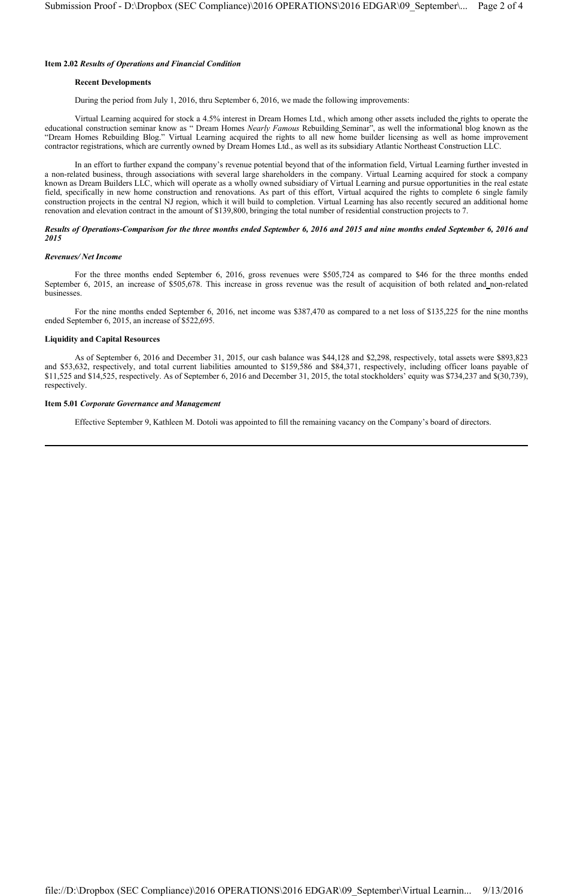#### **Item 2.02** *Results of Operations and Financial Condition*

#### **Recent Developments**

During the period from July 1, 2016, thru September 6, 2016, we made the following improvements:

Virtual Learning acquired for stock a 4.5% interest in Dream Homes Ltd., which among other assets included the rights to operate the educational construction seminar know as " Dream Homes *Nearly Famous* Rebuilding Seminar", as well the informational blog known as the "Dream Homes Rebuilding Blog." Virtual Learning acquired the rights to all new home builder licensing as well as home improvement contractor registrations, which are currently owned by Dream Homes Ltd., as well as its subsidiary Atlantic Northeast Construction LLC.

In an effort to further expand the company's revenue potential beyond that of the information field, Virtual Learning further invested in a non-related business, through associations with several large shareholders in the company. Virtual Learning acquired for stock a company known as Dream Builders LLC, which will operate as a wholly owned subsidiary of Virtual Learning and pursue opportunities in the real estate field, specifically in new home construction and renovations. As part of this effort, Virtual acquired the rights to complete 6 single family construction projects in the central NJ region, which it will build to completion. Virtual Learning has also recently secured an additional home renovation and elevation contract in the amount of \$139,800, bringing the total number of residential construction projects to 7.

#### *Results of Operations***-***Comparison for the three months ended September 6, 2016 and 2015 and nine months ended September 6, 2016 and 2015*

#### *Revenues/ Net Income*

For the three months ended September 6, 2016, gross revenues were \$505,724 as compared to \$46 for the three months ended September 6, 2015, an increase of \$505,678. This increase in gross revenue was the result of acquisition of both related and non-related businesses.

For the nine months ended September 6, 2016, net income was \$387,470 as compared to a net loss of \$135,225 for the nine months ended September 6, 2015, an increase of \$522,695.

#### **Liquidity and Capital Resources**

As of September 6, 2016 and December 31, 2015, our cash balance was \$44,128 and \$2,298, respectively, total assets were \$893,823 and \$53,632, respectively, and total current liabilities amounted to \$159,586 and \$84,371, respectively, including officer loans payable of \$11,525 and \$14,525, respectively. As of September 6, 2016 and December 31, 2015, the total stockholders' equity was \$734,237 and \$(30,739), respectively.

#### **Item 5.01** *Corporate Governance and Management*

Effective September 9, Kathleen M. Dotoli was appointed to fill the remaining vacancy on the Company's board of directors.